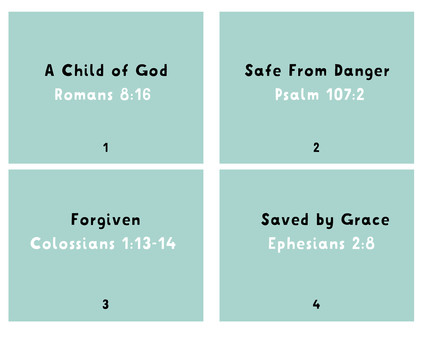## A Child of God Romans 8:16

1

### Safe From Danger Psalm 107:2

2

### Forgiven Colossians 1:13-14

### Saved by Grace Ephesians 2:8

 $3 \hspace{2.5cm} 4$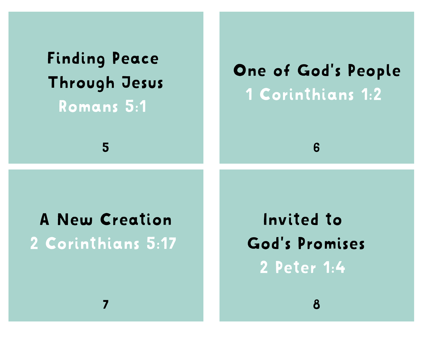Finding Peace Through Jesus Romans 5:1

One of God's People 1 Corinthians 1:2

6

5

### A New Creation 2 Corinthians 5:17

Invited to God' s Promises 2 Peter 1:4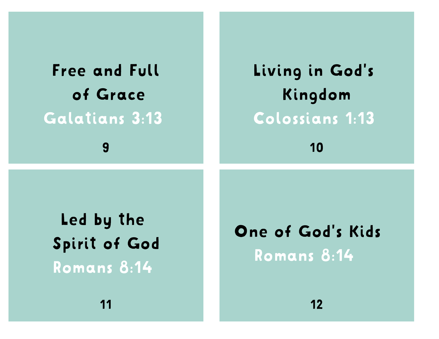## Free and Full of Grace Galatians 3:13

9

# Living in God' s Kingdom Colossians 1:13

10

Led by the Spirit of God Romans 8:14

One of God's Kids Romans 8:14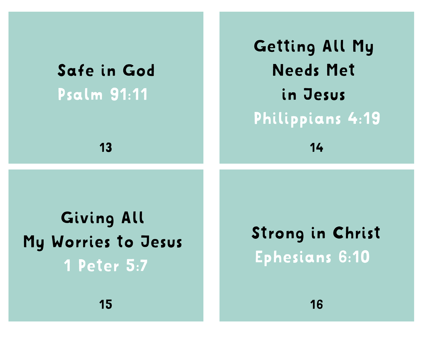

Getting All My Needs Met in Jesus Philippians 4:19

13

14

Giving All My Worries to Jesus 1 Peter 5:7

Strong in Christ Ephesians 6:10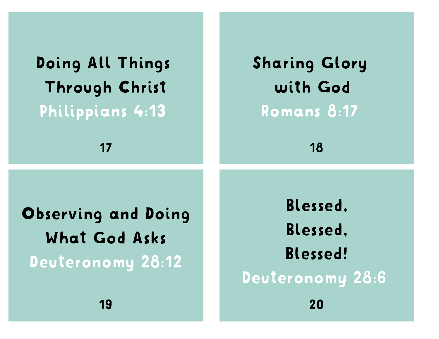Doing All Things Through Christ Philippians 4:13

17

Sharing Glory with God Romans 8:17

18

Observing and Doing What God Asks Deuteronomy 28:12

Blessed, Blessed, Blessed! Deuteronomy 28:6 19 20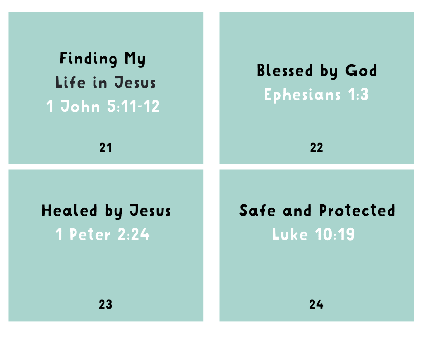Finding My Life in Jesus 1 John 5:11-12

21

### Blessed by God Ephesians 1:3

22

### Healed by Jesus 1 Peter 2:24

Safe and Protected Luke 10:19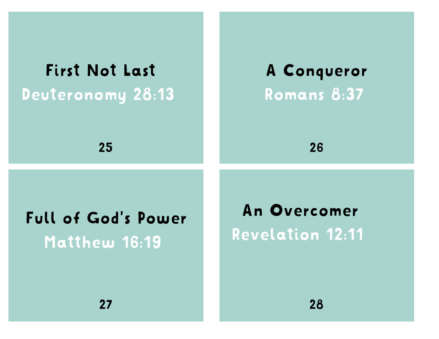### First Not Last Deuteronomy 28:13

A Conqueror Romans 8:37

26

### Full of God' s Power Matthew 16:19

25

An Overcomer Revelation 12:11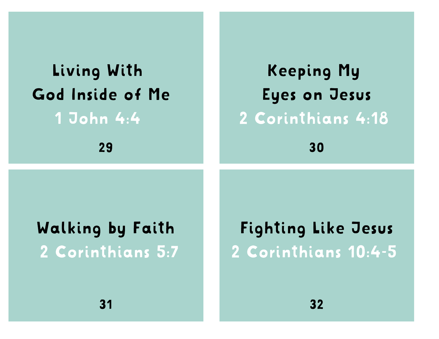## Living With God Inside of Me 1 John 4:4

29

## Keeping My Eyes on Jesus 2 Corinthians 4:18

30

## Walking by Faith 2 Corinthians 5:7

### Fighting Like Jesus 2 Corinthians 10:4-5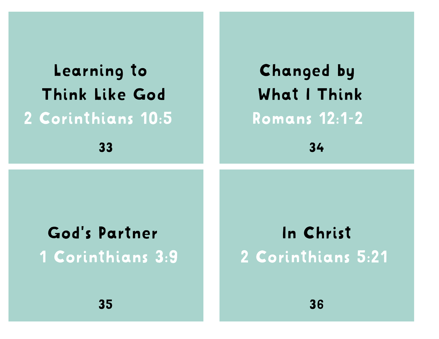## Learning to Think Like God 2 Corinthians 10:5

33

## Changed by What I Think Romans 12:1-2

34

## God' s Partner 1 Corinthians 3:9

### In Christ 2 Corinthians 5:21